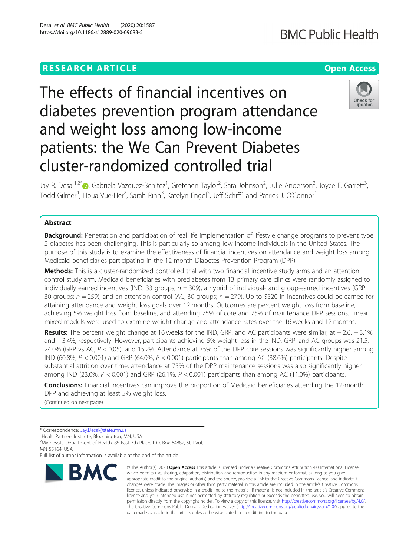# **RESEARCH ARTICLE Example 2014 12:30 The Company Access** (RESEARCH ARTICLE

# The effects of financial incentives on diabetes prevention program attendance and weight loss among low-income patients: the We Can Prevent Diabetes cluster-randomized controlled trial

Jay R. Desai<sup>1[,](http://orcid.org/0000-0002-3010-8501)2\*</sup>®, Gabriela Vazquez-Benitez<sup>1</sup>, Gretchen Taylor<sup>2</sup>, Sara Johnson<sup>2</sup>, Julie Anderson<sup>2</sup>, Joyce E. Garrett<sup>3</sup> , Todd Gilmer<sup>4</sup>, Houa Vue-Her<sup>2</sup>, Sarah Rinn<sup>3</sup>, Katelyn Engel<sup>5</sup>, Jeff Schiff<sup>3</sup> and Patrick J. O'Connor<sup>1</sup>

# Abstract

**Background:** Penetration and participation of real life implementation of lifestyle change programs to prevent type 2 diabetes has been challenging. This is particularly so among low income individuals in the United States. The purpose of this study is to examine the effectiveness of financial incentives on attendance and weight loss among Medicaid beneficiaries participating in the 12-month Diabetes Prevention Program (DPP).

Methods: This is a cluster-randomized controlled trial with two financial incentive study arms and an attention control study arm. Medicaid beneficiaries with prediabetes from 13 primary care clinics were randomly assigned to individually earned incentives (IND; 33 groups;  $n = 309$ ), a hybrid of individual- and group-earned incentives (GRP; 30 groups;  $n = 259$ ), and an attention control (AC; 30 groups;  $n = 279$ ). Up to \$520 in incentives could be earned for attaining attendance and weight loss goals over 12 months. Outcomes are percent weight loss from baseline, achieving 5% weight loss from baseline, and attending 75% of core and 75% of maintenance DPP sessions. Linear mixed models were used to examine weight change and attendance rates over the 16 weeks and 12 months.

Results: The percent weight change at 16 weeks for the IND, GRP, and AC participants were similar, at  $-2.6$ ,  $-3.1\%$ , and − 3.4%, respectively. However, participants achieving 5% weight loss in the IND, GRP, and AC groups was 21.5, 24.0% (GRP vs AC, P < 0.05), and 15.2%. Attendance at 75% of the DPP core sessions was significantly higher among IND (60.8%,  $P < 0.001$ ) and GRP (64.0%,  $P < 0.001$ ) participants than among AC (38.6%) participants. Despite substantial attrition over time, attendance at 75% of the DPP maintenance sessions was also significantly higher among IND (23.0%,  $P < 0.001$ ) and GRP (26.1%,  $P < 0.001$ ) participants than among AC (11.0%) participants.

**Conclusions:** Financial incentives can improve the proportion of Medicaid beneficiaries attending the 12-month DPP and achieving at least 5% weight loss.

(Continued on next page)





<sup>©</sup> The Author(s), 2020 **Open Access** This article is licensed under a Creative Commons Attribution 4.0 International License, which permits use, sharing, adaptation, distribution and reproduction in any medium or format, as long as you give appropriate credit to the original author(s) and the source, provide a link to the Creative Commons licence, and indicate if changes were made. The images or other third party material in this article are included in the article's Creative Commons licence, unless indicated otherwise in a credit line to the material. If material is not included in the article's Creative Commons licence and your intended use is not permitted by statutory regulation or exceeds the permitted use, you will need to obtain permission directly from the copyright holder. To view a copy of this licence, visit [http://creativecommons.org/licenses/by/4.0/.](http://creativecommons.org/licenses/by/4.0/) The Creative Commons Public Domain Dedication waiver [\(http://creativecommons.org/publicdomain/zero/1.0/](http://creativecommons.org/publicdomain/zero/1.0/)) applies to the data made available in this article, unless otherwise stated in a credit line to the data.

<sup>\*</sup> Correspondence: [Jay.Desai@state.mn.us](mailto:Jay.Desai@state.mn.us)<br><sup>1</sup>HealthPartners Institute, Bloomington, MN, USA

<sup>2</sup> Minnesota Department of Health, 85 East 7th Place, P.O. Box 64882, St. Paul, MN 55164, USA

Full list of author information is available at the end of the article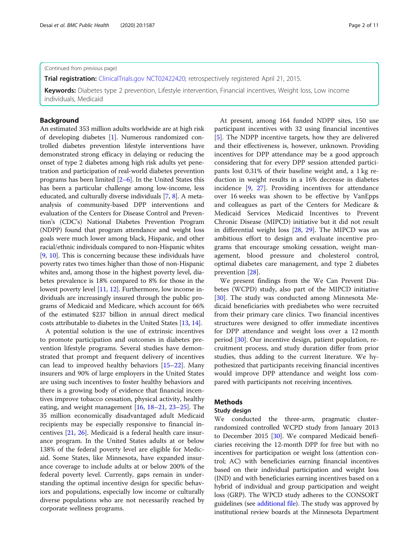**Trial registration:** [ClinicalTrials.gov](http://clinicaltrials.gov) [NCT02422420](https://clinicaltrials.gov/ct2/show/NCT02422420); retrospectively registered April 21, 2015.

Keywords: Diabetes type 2 prevention, Lifestyle intervention, Financial incentives, Weight loss, Low income individuals, Medicaid

# Background

An estimated 353 million adults worldwide are at high risk of developing diabetes [[1](#page-9-0)]. Numerous randomized controlled diabetes prevention lifestyle interventions have demonstrated strong efficacy in delaying or reducing the onset of type 2 diabetes among high risk adults yet penetration and participation of real-world diabetes prevention programs has been limited [\[2](#page-9-0)–[6\]](#page-9-0). In the United States this has been a particular challenge among low-income, less educated, and culturally diverse individuals [\[7,](#page-9-0) [8\]](#page-9-0). A metaanalysis of community-based DPP interventions and evaluation of the Centers for Disease Control and Prevention's (CDC's) National Diabetes Prevention Program (NDPP) found that program attendance and weight loss goals were much lower among black, Hispanic, and other racial/ethnic individuals compared to non-Hispanic whites [[9,](#page-9-0) [10\]](#page-9-0). This is concerning because these individuals have poverty rates two times higher than those of non-Hispanic whites and, among those in the highest poverty level, diabetes prevalence is 18% compared to 8% for those in the lowest poverty level [[11](#page-9-0), [12\]](#page-9-0). Furthermore, low income individuals are increasingly insured through the public programs of Medicaid and Medicare, which account for 66% of the estimated \$237 billion in annual direct medical costs attributable to diabetes in the United States [\[13,](#page-9-0) [14](#page-9-0)].

A potential solution is the use of extrinsic incentives to promote participation and outcomes in diabetes prevention lifestyle programs. Several studies have demonstrated that prompt and frequent delivery of incentives can lead to improved healthy behaviors [\[15](#page-9-0)–[22\]](#page-9-0). Many insurers and 90% of large employers in the United States are using such incentives to foster healthy behaviors and there is a growing body of evidence that financial incentives improve tobacco cessation, physical activity, healthy eating, and weight management [\[16,](#page-9-0) [18](#page-9-0)–[21,](#page-9-0) [23](#page-9-0)–[25\]](#page-9-0). The 35 million economically disadvantaged adult Medicaid recipients may be especially responsive to financial incentives [[21](#page-9-0), [26\]](#page-9-0). Medicaid is a federal health care insurance program. In the United States adults at or below 138% of the federal poverty level are eligible for Medicaid. Some States, like Minnesota, have expanded insurance coverage to include adults at or below 200% of the federal poverty level. Currently, gaps remain in understanding the optimal incentive design for specific behaviors and populations, especially low income or culturally diverse populations who are not necessarily reached by corporate wellness programs.

At present, among 164 funded NDPP sites, 150 use participant incentives with 32 using financial incentives [[5\]](#page-9-0). The NDPP incentive targets, how they are delivered and their effectiveness is, however, unknown. Providing incentives for DPP attendance may be a good approach considering that for every DPP session attended participants lost 0.31% of their baseline weight and, a 1 kg reduction in weight results in a 16% decrease in diabetes incidence [\[9](#page-9-0), [27\]](#page-9-0). Providing incentives for attendance over 16 weeks was shown to be effective by VanEpps and colleagues as part of the Centers for Medicare & Medicaid Services Medicaid Incentives to Prevent Chronic Disease (MIPCD) initiative but it did not result in differential weight loss [\[28](#page-9-0), [29](#page-9-0)]. The MIPCD was an ambitious effort to design and evaluate incentive programs that encourage smoking cessation, weight management, blood pressure and cholesterol control, optimal diabetes care management, and type 2 diabetes prevention [[28\]](#page-9-0).

We present findings from the We Can Prevent Diabetes (WCPD) study, also part of the MIPCD initiative [[30\]](#page-9-0). The study was conducted among Minnesota Medicaid beneficiaries with prediabetes who were recruited from their primary care clinics. Two financial incentives structures were designed to offer immediate incentives for DPP attendance and weight loss over a 12 month period [\[30\]](#page-9-0). Our incentive design, patient population, recruitment process, and study duration differ from prior studies, thus adding to the current literature. We hypothesized that participants receiving financial incentives would improve DPP attendance and weight loss compared with participants not receiving incentives.

# **Methods**

## Study design

We conducted the three-arm, pragmatic clusterrandomized controlled WCPD study from January 2013 to December 2015 [\[30](#page-9-0)]. We compared Medicaid beneficiaries receiving the 12-month DPP for free but with no incentives for participation or weight loss (attention control; AC) with beneficiaries earning financial incentives based on their individual participation and weight loss (IND) and with beneficiaries earning incentives based on a hybrid of individual and group participation and weight loss (GRP). The WPCD study adheres to the CONSORT guidelines (see [additional file](#page-8-0)). The study was approved by institutional review boards at the Minnesota Department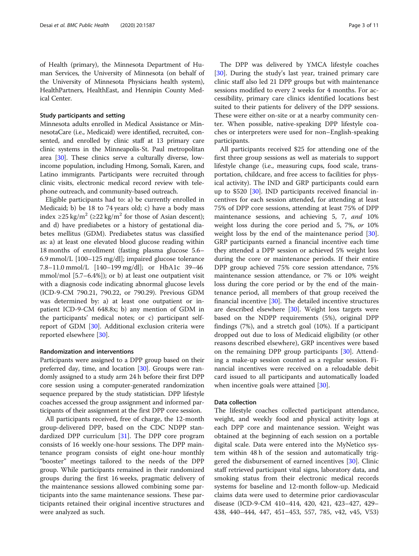Desai et al. BMC Public Health (2020) 20:1587 Page 3 of 11

of Health (primary), the Minnesota Department of Human Services, the University of Minnesota (on behalf of the University of Minnesota Physicians health system), HealthPartners, HealthEast, and Hennipin County Medical Center.

# Study participants and setting

Minnesota adults enrolled in Medical Assistance or MinnesotaCare (i.e., Medicaid) were identified, recruited, consented, and enrolled by clinic staff at 13 primary care clinic systems in the Minneapolis-St. Paul metropolitan area [\[30\]](#page-9-0). These clinics serve a culturally diverse, lowincome population, including Hmong, Somali, Karen, and Latino immigrants. Participants were recruited through clinic visits, electronic medical record review with telephone outreach, and community-based outreach.

Eligible participants had to: a) be currently enrolled in Medicaid; b) be 18 to 74 years old; c) have a body mass index ≥25 kg/m<sup>2</sup> (≥22 kg/m<sup>2</sup> for those of Asian descent); and d) have prediabetes or a history of gestational diabetes mellitus (GDM). Prediabetes status was classified as: a) at least one elevated blood glucose reading within 18 months of enrollment (fasting plasma glucose 5.6– 6.9 mmol/L [100–125 mg/dl]; impaired glucose tolerance 7.8–11.0 mmol/L [140–199 mg/dl]; or HbA1c 39–46 mmol/mol [5.7–6.4%]); or b) at least one outpatient visit with a diagnosis code indicating abnormal glucose levels (ICD-9-CM 790.21, 790.22, or 790.29). Previous GDM was determined by: a) at least one outpatient or inpatient ICD-9-CM 648.8x; b) any mention of GDM in the participants' medical notes; or c) participant selfreport of GDM [\[30\]](#page-9-0). Additional exclusion criteria were reported elsewhere [\[30](#page-9-0)].

#### Randomization and interventions

Participants were assigned to a DPP group based on their preferred day, time, and location [\[30](#page-9-0)]. Groups were randomly assigned to a study arm 24 h before their first DPP core session using a computer-generated randomization sequence prepared by the study statistician. DPP lifestyle coaches accessed the group assignment and informed participants of their assignment at the first DPP core session.

All participants received, free of charge, the 12-month group-delivered DPP, based on the CDC NDPP standardized DPP curriculum [\[31](#page-9-0)]. The DPP core program consists of 16 weekly one-hour sessions. The DPP maintenance program consists of eight one-hour monthly "booster" meetings tailored to the needs of the DPP group. While participants remained in their randomized groups during the first 16 weeks, pragmatic delivery of the maintenance sessions allowed combining some participants into the same maintenance sessions. These participants retained their original incentive structures and were analyzed as such.

The DPP was delivered by YMCA lifestyle coaches [[30\]](#page-9-0). During the study's last year, trained primary care clinic staff also led 21 DPP groups but with maintenance sessions modified to every 2 weeks for 4 months. For accessibility, primary care clinics identified locations best suited to their patients for delivery of the DPP sessions. These were either on-site or at a nearby community center. When possible, native-speaking DPP lifestyle coaches or interpreters were used for non–English-speaking participants.

All participants received \$25 for attending one of the first three group sessions as well as materials to support lifestyle change (i.e., measuring cups, food scale, transportation, childcare, and free access to facilities for physical activity). The IND and GRP participants could earn up to \$520 [\[30\]](#page-9-0). IND participants received financial incentives for each session attended, for attending at least 75% of DPP core sessions, attending at least 75% of DPP maintenance sessions, and achieving 5, 7, and 10% weight loss during the core period and 5, 7%, or 10% weight loss by the end of the maintenance period [\[30](#page-9-0)]. GRP participants earned a financial incentive each time they attended a DPP session or achieved 5% weight loss during the core or maintenance periods. If their entire DPP group achieved 75% core session attendance, 75% maintenance session attendance, or 7% or 10% weight loss during the core period or by the end of the maintenance period, all members of that group received the financial incentive  $[30]$  $[30]$ . The detailed incentive structures are described elsewhere [[30\]](#page-9-0). Weight loss targets were based on the NDPP requirements (5%), original DPP findings (7%), and a stretch goal (10%). If a participant dropped out due to loss of Medicaid eligibility (or other reasons described elsewhere), GRP incentives were based on the remaining DPP group participants [\[30](#page-9-0)]. Attending a make-up session counted as a regular session. Financial incentives were received on a reloadable debit card issued to all participants and automatically loaded when incentive goals were attained [[30\]](#page-9-0).

# Data collection

The lifestyle coaches collected participant attendance, weight, and weekly food and physical activity logs at each DPP core and maintenance session. Weight was obtained at the beginning of each session on a portable digital scale. Data were entered into the MyNetico system within 48 h of the session and automatically trig-gered the disbursement of earned incentives [[30\]](#page-9-0). Clinic staff retrieved participant vital signs, laboratory data, and smoking status from their electronic medical records systems for baseline and 12-month follow-up. Medicaid claims data were used to determine prior cardiovascular disease (ICD-9-CM 410–414, 420, 421, 423–427, 429– 438, 440–444, 447, 451–453, 557, 785, v42, v45, V53)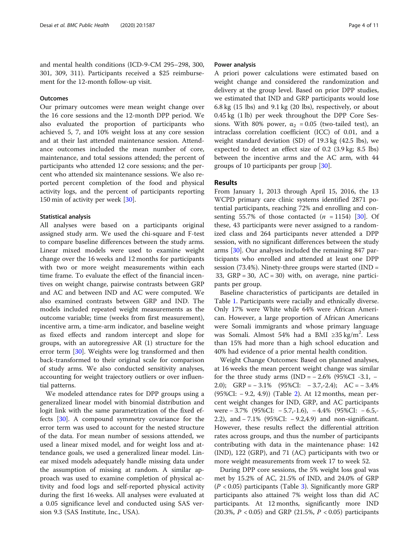and mental health conditions (ICD-9-CM 295–298, 300, 301, 309, 311). Participants received a \$25 reimbursement for the 12-month follow-up visit.

# **Outcomes**

Our primary outcomes were mean weight change over the 16 core sessions and the 12-month DPP period. We also evaluated the proportion of participants who achieved 5, 7, and 10% weight loss at any core session and at their last attended maintenance session. Attendance outcomes included the mean number of core, maintenance, and total sessions attended; the percent of participants who attended 12 core sessions; and the percent who attended six maintenance sessions. We also reported percent completion of the food and physical activity logs, and the percent of participants reporting 150 min of activity per week [\[30](#page-9-0)].

## Statistical analysis

All analyses were based on a participants original assigned study arm. We used the chi-square and F-test to compare baseline differences between the study arms. Linear mixed models were used to examine weight change over the 16 weeks and 12 months for participants with two or more weight measurements within each time frame. To evaluate the effect of the financial incentives on weight change, pairwise contrasts between GRP and AC and between IND and AC were computed. We also examined contrasts between GRP and IND. The models included repeated weight measurements as the outcome variable; time (weeks from first measurement), incentive arm, a time-arm indicator, and baseline weight as fixed effects and random intercept and slope for groups, with an autoregressive AR (1) structure for the error term [[30](#page-9-0)]. Weights were log transformed and then back-transformed to their original scale for comparison of study arms. We also conducted sensitivity analyses, accounting for weight trajectory outliers or over influential patterns.

We modeled attendance rates for DPP groups using a generalized linear model with binomial distribution and logit link with the same parametrization of the fixed effects [[30\]](#page-9-0). A compound symmetry covariance for the error term was used to account for the nested structure of the data. For mean number of sessions attended, we used a linear mixed model, and for weight loss and attendance goals, we used a generalized linear model. Linear mixed models adequately handle missing data under the assumption of missing at random. A similar approach was used to examine completion of physical activity and food logs and self-reported physical activity during the first 16 weeks. All analyses were evaluated at a 0.05 significance level and conducted using SAS version 9.3 (SAS Institute, Inc., USA).

#### Power analysis

A priori power calculations were estimated based on weight change and considered the randomization and delivery at the group level. Based on prior DPP studies, we estimated that IND and GRP participants would lose 6.8 kg (15 lbs) and 9.1 kg (20 lbs), respectively, or about 0.45 kg (1 lb) per week throughout the DPP Core Sessions. With 80% power,  $\alpha_2 = 0.05$  (two-tailed test), an intraclass correlation coefficient (ICC) of 0.01, and a weight standard deviation (SD) of 19.3 kg (42.5 lbs), we expected to detect an effect size of 0.2 (3.9 kg; 8.5 lbs) between the incentive arms and the AC arm, with 44 groups of 10 participants per group [\[30](#page-9-0)].

# Results

From January 1, 2013 through April 15, 2016, the 13 WCPD primary care clinic systems identified 2871 potential participants, reaching 72% and enrolling and consenting 55.7% of those contacted  $(n = 1154)$  [\[30](#page-9-0)]. Of these, 43 participants were never assigned to a randomized class and 264 participants never attended a DPP session, with no significant differences between the study arms [\[30\]](#page-9-0). Our analyses included the remaining 847 participants who enrolled and attended at least one DPP session (73.4%). Ninety-three groups were started (IND = 33,  $GRP = 30$ ,  $AC = 30$ ) with, on average, nine participants per group.

Baseline characteristics of participants are detailed in Table [1.](#page-4-0) Participants were racially and ethnically diverse. Only 17% were White while 64% were African American. However, a large proportion of African Americans were Somali immigrants and whose primary language was Somali. Almost 54% had a BMI ≥35 kg/m<sup>2</sup>. Less than 15% had more than a high school education and 40% had evidence of a prior mental health condition.

Weight Change Outcomes: Based on planned analyses, at 16 weeks the mean percent weight change was similar for the three study arms  $(IND = -2.6\% (95\% CI -3.1, -7.5\%)$ 2.0);  $GRP = -3.1\%$  (95%CI:  $-3.7,-2.4$ );  $AC = -3.4\%$ (95%CI: − 9.2, 4.9)) (Table [2](#page-5-0)). At 12 months, mean percent weight changes for IND, GRP, and AC participants were − 3.7% (95%CI: − 5.7,-1.6), − 4.4% (95%CI: − 6.5,- 2.2), and − 7.1% (95%CI: − 9.2,4.9) and non-significant. However, these results reflect the differential attrition rates across groups, and thus the number of participants contributing with data in the maintenance phase: 142 (IND), 122 (GRP), and 71 (AC) participants with two or more weight measurements from week 17 to week 52.

During DPP core sessions, the 5% weight loss goal was met by 15.2% of AC, 21.5% of IND, and 24.0% of GRP  $(P < 0.05)$  participants (Table [3](#page-5-0)). Significantly more GRP participants also attained 7% weight loss than did AC participants. At 12 months, significantly more IND (20.3%,  $P < 0.05$ ) and GRP (21.5%,  $P < 0.05$ ) participants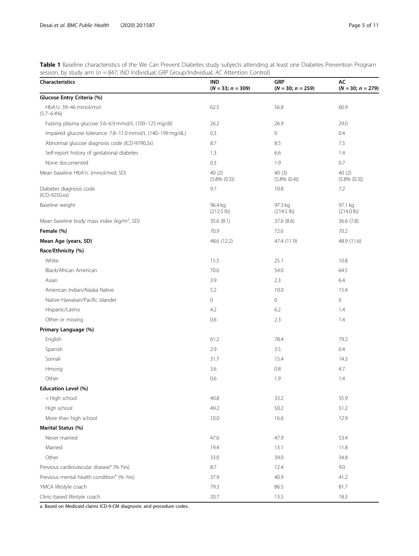<span id="page-4-0"></span>Table 1 Baseline characteristics of the We Can Prevent Diabetes study subjects attending at least one Diabetes Prevention Program session, by study arm ( $n = 847$ ; IND Individual; GRP Group/Individual; AC Attention Control)

| Characteristics                                             | <b>IND</b><br>$(N = 33; n = 309)$ | <b>GRP</b><br>$(N = 30; n = 259)$ | AC<br>$(N = 30; n = 279)$ |
|-------------------------------------------------------------|-----------------------------------|-----------------------------------|---------------------------|
| Glucose Entry Criteria (%)                                  |                                   |                                   |                           |
| HbA1c 39-46 mmol/mol<br>$(5.7 - 6.4\%)$                     | 62.5                              | 56.8                              | 60.9                      |
| Fasting plasma glucose 5.6-6.9 mmol/L (100-125 mg/dl)       | 26.2                              | 26.9                              | 29.0                      |
| Impaired glucose tolerance: 7.8-11.0 mmol/L (140-199 mg/dL) | 0.3                               | 0                                 | 0.4                       |
| Abnormal glucose diagnosis code (ICD-9790.2x)               | 8.7                               | 8.5                               | 7.5                       |
| Self-report history of gestational diabetes                 | 1.3                               | 6.6                               | 1.4                       |
| None documented                                             | 0.3                               | 1.9                               | 0.7                       |
| Mean baseline HbA1c (mmol/mol; SD)                          | 40 (2)<br>$(5.8\% (0.3))$         | 40(3)<br>$(5.8\% (0.4))$          | 40(2)<br>$(5.8\% (0.3))$  |
| Diabetes diagnosis code<br>(ICD-9250.xx)                    | 9.7                               | 10.8                              | 7.2                       |
| Baseline weight                                             | 96.4 kg<br>(212.5 lb)             | 97.3 kg<br>$(214.5 \text{ lb})$   | 97.1 kg<br>(214.0 lb)     |
| Mean baseline body mass index (kg/m <sup>2</sup> , SD)      | 35.6 (8.1)                        | 37.6 (8.6)                        | 36.6 (7.8)                |
| Female (%)                                                  | 70.9                              | 72.6                              | 70.2                      |
| Mean Age (years, SD)                                        | 48.6 (12.2)                       | 47.4 (11.9)                       | 48.9 (11.6)               |
| Race/Ethnicity (%)                                          |                                   |                                   |                           |
| White                                                       | 15.5                              | 25.1                              | 10.8                      |
| Black/African American                                      | 70.6                              | 54.0                              | 64.5                      |
| Asian                                                       | 3.9                               | 2.3                               | 6.4                       |
| American Indian/Alaska Native                               | 5.2                               | 10.0                              | 15.4                      |
| Native Hawaiian/Pacific Islander                            | $\circ$                           | 0                                 | 0                         |
| Hispanic/Latino                                             | 4.2                               | 6.2                               | 1.4                       |
| Other or missing                                            | 0.6                               | 2.3                               | 1.4                       |
| Primary Language (%)                                        |                                   |                                   |                           |
| English                                                     | 61.2                              | 78.4                              | 79.2                      |
| Spanish                                                     | 2.9                               | 3.5                               | 0.4                       |
| Somali                                                      | 31.7                              | 15.4                              | 14.3                      |
| Hmong                                                       | 3.6                               | 0.8                               | 4.7                       |
| Other                                                       | 0.6                               | 1.9                               | 1.4                       |
| <b>Education Level (%)</b>                                  |                                   |                                   |                           |
| < High school                                               | 40.8                              | 33.2                              | 35.9                      |
| High school                                                 | 49.2                              | 50.2                              | 51.2                      |
| More than high school                                       | 10.0                              | 16.6                              | 12.9                      |
| Marital Status (%)                                          |                                   |                                   |                           |
| Never married                                               | 47.6                              | 47.9                              | 53.4                      |
| Married                                                     | 19.4                              | 13.1                              | 11.8                      |
| Other                                                       | 33.0                              | 39.0                              | 34.8                      |
| Previous cardiovascular disease <sup>a</sup> (% Yes)        | 8.7                               | 12.4                              | 9.0                       |
| Previous mental health condition <sup>a</sup> (% Yes)       | 37.9                              | 40.9                              | 41.2                      |
| YMCA lifestyle coach                                        | 79.3                              | 86.5                              | 81.7                      |
| Clinic-based lifestyle coach                                | 20.7                              | 13.5                              | 18.3                      |

a. Based on Medicaid claims ICD-9-CM diagnostic and procedure codes.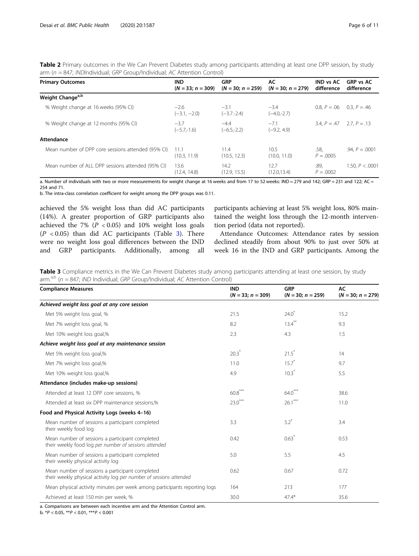<span id="page-5-0"></span>Table 2 Primary outcomes in the We Can Prevent Diabetes study among participants attending at least one DPP session, by study arm (n = 847; INDIndividual; GRP Group/Individual; AC Attention Control)

| <b>Primary Outcomes</b>                            | <b>IND</b><br>$(N = 33; n = 309)$ | <b>GRP</b><br>$(N = 30; n = 259)$ | AC.<br>$(N = 30; n = 279)$ | <b>IND vs AC</b><br>difference  | <b>GRP vs AC</b><br>difference |
|----------------------------------------------------|-----------------------------------|-----------------------------------|----------------------------|---------------------------------|--------------------------------|
| Weight Change <sup>a,b</sup>                       |                                   |                                   |                            |                                 |                                |
| % Weight change at 16 weeks (95% CI)               | $-2.6$<br>$(-3.1, -2.0)$          | $-3.1$<br>$(-3.7 - 2.4)$          | $-3.4$<br>$(-4.0,-2.7)$    | 0.8, $P = 0.06$ 0.3, $P = 0.46$ |                                |
| % Weight change at 12 months (95% CI)              | $-3.7$<br>$(-5.7,-1.6)$           | $-4.4$<br>$(-6.5,-2.2)$           | $-7.1$<br>$(-9.2, 4.9)$    | 3.4, $P = 47$ 2.7, $P = 13$     |                                |
| Attendance                                         |                                   |                                   |                            |                                 |                                |
| Mean number of DPP core sessions attended (95% CI) | 11.1<br>(10.3, 11.9)              | 11.4<br>(10.5, 12.3)              | 10.5<br>(10.0, 11.0)       | .58,<br>$P = 0.0005$            | $.94. P = .0001$               |
| Mean number of ALL DPP sessions attended (95% CI)  | 13.6<br>(12.4, 14.8)              | 14.2<br>(12.9, 15.5)              | 12.7<br>(12.0.13.4)        | .89,<br>$P = 0.0002$            | 1.50, $P < .0001$              |

a. Number of individuals with two or more measurements for weight change at 16 weeks and from 17 to 52 weeks: IND = 279 and 142; GRP = 231 and 122; AC = 254 and 71.

b. The intra-class correlation coefficient for weight among the DPP groups was 0.11.

achieved the 5% weight loss than did AC participants (14%). A greater proportion of GRP participants also achieved the 7% ( $P < 0.05$ ) and 10% weight loss goals  $(P < 0.05)$  than did AC participants (Table 3). There were no weight loss goal differences between the IND and GRP participants. Additionally, among all participants achieving at least 5% weight loss, 80% maintained the weight loss through the 12-month intervention period (data not reported).

Attendance Outcomes: Attendance rates by session declined steadily from about 90% to just over 50% at week 16 in the IND and GRP participants. Among the

Table 3 Compliance metrics in the We Can Prevent Diabetes study among participants attending at least one session, by study arm.<sup>a,b</sup> ( $n = 847$ ; IND Individual; GRP Group/Individual; AC Attention Control)

| <b>Compliance Measures</b>                                                                                            | <b>IND</b><br>$(N = 33; n = 309)$ | <b>GRP</b><br>$(N = 30; n = 259)$ | <b>AC</b><br>$(N = 30; n = 279)$ |
|-----------------------------------------------------------------------------------------------------------------------|-----------------------------------|-----------------------------------|----------------------------------|
| Achieved weight loss goal at any core session                                                                         |                                   |                                   |                                  |
| Met 5% weight loss goal, %                                                                                            | 21.5                              | $24.0^{\degree}$                  | 15.2                             |
| Met 7% weight loss goal, %                                                                                            | 8.2                               | $13.4$ **                         | 9.3                              |
| Met 10% weight loss goal,%                                                                                            | 2.3                               | 4.3                               | 1.5                              |
| Achieve weight loss goal at any maintenance session                                                                   |                                   |                                   |                                  |
| Met 5% weight loss goal,%                                                                                             | $20.3^{\degree}$                  | $21.5$ <sup>*</sup>               | 14                               |
| Met 7% weight loss goal,%                                                                                             | 11.0                              | $15.7^{\circ}$                    | 9.7                              |
| Met 10% weight loss goal,%                                                                                            | 4.9                               | $10.3^*$                          | 5.5                              |
| Attendance (includes make-up sessions)                                                                                |                                   |                                   |                                  |
| Attended at least 12 DPP core sessions, %                                                                             | $60.8***$                         | $64.0$ ***                        | 38.6                             |
| Attended at least six DPP maintenance sessions.%                                                                      | $23.0***$                         | $26.1***$                         | 11.0                             |
| Food and Physical Activity Logs (weeks 4-16)                                                                          |                                   |                                   |                                  |
| Mean number of sessions a participant completed<br>their weekly food log                                              | 3.3                               | $5.2^*$                           | 3.4                              |
| Mean number of sessions a participant completed<br>their weekly food log per number of sessions attended              | 0.42                              | $0.63$ <sup>*</sup>               | 0.53                             |
| Mean number of sessions a participant completed<br>their weekly physical activity log                                 | 5.0                               | 5.5                               | 4.5                              |
| Mean number of sessions a participant completed<br>their weekly physical activity log per number of sessions attended | 0.62                              | 0.67                              | 0.72                             |
| Mean physical activity minutes per week among participants reporting logs                                             | 164                               | 213                               | 177                              |
| Achieved at least 150 min per week, %                                                                                 | 30.0                              | $47.4*$                           | 35.6                             |

a. Comparisons are between each incentive arm and the Attention Control arm.

b.  $*P < 0.05$ ,  $*P < 0.01$ ,  $**P < 0.001$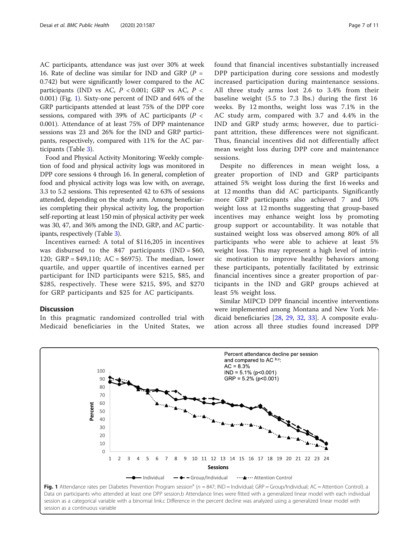AC participants, attendance was just over 30% at week 16. Rate of decline was similar for IND and GRP ( $P =$ 0.742) but were significantly lower compared to the AC participants (IND vs AC,  $P < 0.001$ ; GRP vs AC,  $P <$ 0.001) (Fig. 1). Sixty-one percent of IND and 64% of the GRP participants attended at least 75% of the DPP core sessions, compared with 39% of AC participants ( $P <$ 0.001). Attendance of at least 75% of DPP maintenance sessions was 23 and 26% for the IND and GRP participants, respectively, compared with 11% for the AC participants (Table [3](#page-5-0)).

Food and Physical Activity Monitoring: Weekly completion of food and physical activity logs was monitored in DPP core sessions 4 through 16. In general, completion of food and physical activity logs was low with, on average, 3.3 to 5.2 sessions. This represented 42 to 63% of sessions attended, depending on the study arm. Among beneficiaries completing their physical activity log, the proportion self-reporting at least 150 min of physical activity per week was 30, 47, and 36% among the IND, GRP, and AC participants, respectively (Table [3\)](#page-5-0).

Incentives earned: A total of \$116,205 in incentives was disbursed to the 847 participants  $(IND = $60,$ 120; GRP = \$49,110; AC = \$6975). The median, lower quartile, and upper quartile of incentives earned per participant for IND participants were \$215, \$85, and \$285, respectively. These were \$215, \$95, and \$270 for GRP participants and \$25 for AC participants.

#### **Discussion**

In this pragmatic randomized controlled trial with Medicaid beneficiaries in the United States, we found that financial incentives substantially increased DPP participation during core sessions and modestly increased participation during maintenance sessions. All three study arms lost 2.6 to 3.4% from their baseline weight (5.5 to 7.3 lbs.) during the first 16 weeks. By 12 months, weight loss was 7.1% in the AC study arm, compared with 3.7 and 4.4% in the IND and GRP study arms; however, due to participant attrition, these differences were not significant. Thus, financial incentives did not differentially affect mean weight loss during DPP core and maintenance sessions.

Despite no differences in mean weight loss, a greater proportion of IND and GRP participants attained 5% weight loss during the first 16 weeks and at 12 months than did AC participants. Significantly more GRP participants also achieved 7 and 10% weight loss at 12 months suggesting that group-based incentives may enhance weight loss by promoting group support or accountability. It was notable that sustained weight loss was observed among 80% of all participants who were able to achieve at least 5% weight loss. This may represent a high level of intrinsic motivation to improve healthy behaviors among these participants, potentially facilitated by extrinsic financial incentives since a greater proportion of participants in the IND and GRP groups achieved at least 5% weight loss.

Similar MIPCD DPP financial incentive interventions were implemented among Montana and New York Medicaid beneficiaries [[28](#page-9-0), [29](#page-9-0), [32](#page-9-0), [33\]](#page-9-0). A composite evaluation across all three studies found increased DPP



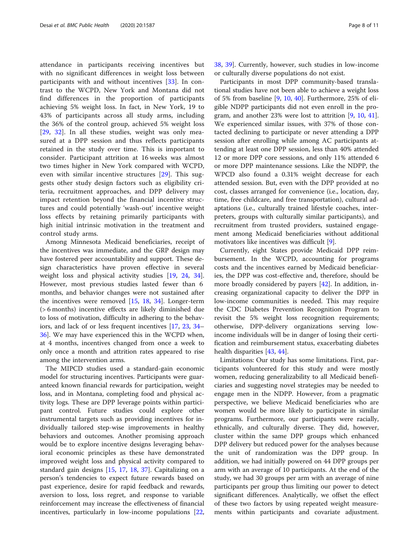attendance in participants receiving incentives but with no significant differences in weight loss between participants with and without incentives [[33](#page-9-0)]. In contrast to the WCPD, New York and Montana did not find differences in the proportion of participants achieving 5% weight loss. In fact, in New York, 19 to 43% of participants across all study arms, including the 36% of the control group, achieved 5% weight loss [[29,](#page-9-0) [32\]](#page-9-0). In all these studies, weight was only measured at a DPP session and thus reflects participants retained in the study over time. This is important to consider. Participant attrition at 16 weeks was almost two times higher in New York compared with WCPD, even with similar incentive structures [\[29](#page-9-0)]. This suggests other study design factors such as eligibility criteria, recruitment approaches, and DPP delivery may impact retention beyond the financial incentive structures and could potentially 'wash-out' incentive weight loss effects by retaining primarily participants with high initial intrinsic motivation in the treatment and control study arms.

Among Minnesota Medicaid beneficiaries, receipt of the incentives was immediate, and the GRP design may have fostered peer accountability and support. These design characteristics have proven effective in several weight loss and physical activity studies [\[19](#page-9-0), [24,](#page-9-0) [34](#page-10-0)]. However, most previous studies lasted fewer than 6 months, and behavior changes were not sustained after the incentives were removed [\[15,](#page-9-0) [18](#page-9-0), [34\]](#page-10-0). Longer-term (> 6 months) incentive effects are likely diminished due to loss of motivation, difficulty in adhering to the behaviors, and lack of or less frequent incentives [[17](#page-9-0), [23](#page-9-0), [34](#page-10-0)– [36\]](#page-10-0). We may have experienced this in the WCPD when, at 4 months, incentives changed from once a week to only once a month and attrition rates appeared to rise among the intervention arms.

The MIPCD studies used a standard-gain economic model for structuring incentives. Participants were guaranteed known financial rewards for participation, weight loss, and in Montana, completing food and physical activity logs. These are DPP leverage points within participant control. Future studies could explore other instrumental targets such as providing incentives for individually tailored step-wise improvements in healthy behaviors and outcomes. Another promising approach would be to explore incentive designs leveraging behavioral economic principles as these have demonstrated improved weight loss and physical activity compared to standard gain designs [\[15](#page-9-0), [17,](#page-9-0) [18,](#page-9-0) [37\]](#page-10-0). Capitalizing on a person's tendencies to expect future rewards based on past experience, desire for rapid feedback and rewards, aversion to loss, loss regret, and response to variable reinforcement may increase the effectiveness of financial incentives, particularly in low-income populations [[22](#page-9-0), [38,](#page-10-0) [39](#page-10-0)]. Currently, however, such studies in low-income or culturally diverse populations do not exist.

Participants in most DPP community-based translational studies have not been able to achieve a weight loss of 5% from baseline [\[9,](#page-9-0) [10](#page-9-0), [40](#page-10-0)]. Furthermore, 25% of eligible NDPP participants did not even enroll in the program, and another 23% were lost to attrition [\[9](#page-9-0), [10,](#page-9-0) [41](#page-10-0)]. We experienced similar issues, with 37% of those contacted declining to participate or never attending a DPP session after enrolling while among AC participants attending at least one DPP session, less than 40% attended 12 or more DPP core sessions, and only 11% attended 6 or more DPP maintenance sessions. Like the NDPP, the WPCD also found a 0.31% weight decrease for each attended session. But, even with the DPP provided at no cost, classes arranged for convenience (i.e., location, day, time, free childcare, and free transportation), cultural adaptations (i.e., culturally trained lifestyle coaches, interpreters, groups with culturally similar participants), and recruitment from trusted providers, sustained engagement among Medicaid beneficiaries without additional motivators like incentives was difficult [[9\]](#page-9-0).

Currently, eight States provide Medicaid DPP reimbursement. In the WCPD, accounting for programs costs and the incentives earned by Medicaid beneficiaries, the DPP was cost-effective and, therefore, should be more broadly considered by payers [[42\]](#page-10-0). In addition, increasing organizational capacity to deliver the DPP in low-income communities is needed. This may require the CDC Diabetes Prevention Recognition Program to revisit the 5% weight loss recognition requirements; otherwise, DPP-delivery organizations serving lowincome individuals will be in danger of losing their certification and reimbursement status, exacerbating diabetes health disparities [\[43](#page-10-0), [44\]](#page-10-0).

Limitations: Our study has some limitations. First, participants volunteered for this study and were mostly women, reducing generalizability to all Medicaid beneficiaries and suggesting novel strategies may be needed to engage men in the NDPP. However, from a pragmatic perspective, we believe Medicaid beneficiaries who are women would be more likely to participate in similar programs. Furthermore, our participants were racially, ethnically, and culturally diverse. They did, however, cluster within the same DPP groups which enhanced DPP delivery but reduced power for the analyses because the unit of randomization was the DPP group. In addition, we had initially powered on 44 DPP groups per arm with an average of 10 participants. At the end of the study, we had 30 groups per arm with an average of nine participants per group thus limiting our power to detect significant differences. Analytically, we offset the effect of these two factors by using repeated weight measurements within participants and covariate adjustment.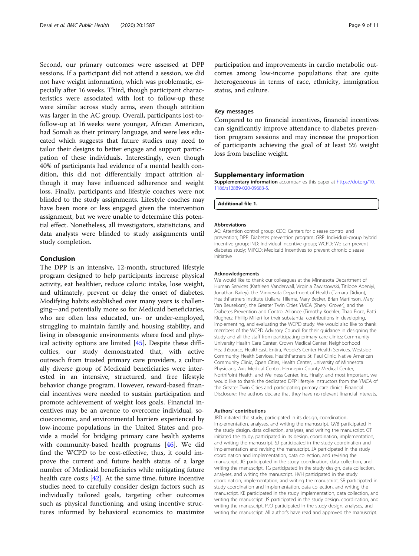<span id="page-8-0"></span>Second, our primary outcomes were assessed at DPP sessions. If a participant did not attend a session, we did not have weight information, which was problematic, especially after 16 weeks. Third, though participant characteristics were associated with lost to follow-up these were similar across study arms, even though attrition was larger in the AC group. Overall, participants lost-tofollow-up at 16 weeks were younger, African American, had Somali as their primary language, and were less educated which suggests that future studies may need to tailor their designs to better engage and support participation of these individuals. Interestingly, even though 40% of participants had evidence of a mental health condition, this did not differentially impact attrition although it may have influenced adherence and weight loss. Finally, participants and lifestyle coaches were not blinded to the study assignments. Lifestyle coaches may have been more or less engaged given the intervention assignment, but we were unable to determine this potential effect. Nonetheless, all investigators, statisticians, and data analysts were blinded to study assignments until study completion.

# Conclusion

The DPP is an intensive, 12-month, structured lifestyle program designed to help participants increase physical activity, eat healthier, reduce caloric intake, lose weight, and ultimately, prevent or delay the onset of diabetes. Modifying habits established over many years is challenging—and potentially more so for Medicaid beneficiaries, who are often less educated, un- or under-employed, struggling to maintain family and housing stability, and living in obesogenic environments where food and physical activity options are limited [[45\]](#page-10-0). Despite these difficulties, our study demonstrated that, with active outreach from trusted primary care providers, a culturally diverse group of Medicaid beneficiaries were interested in an intensive, structured, and free lifestyle behavior change program. However, reward-based financial incentives were needed to sustain participation and promote achievement of weight loss goals. Financial incentives may be an avenue to overcome individual, socioeconomic, and environmental barriers experienced by low-income populations in the United States and provide a model for bridging primary care health systems with community-based health programs [\[46\]](#page-10-0). We did find the WCPD to be cost-effective, thus, it could improve the current and future health status of a large number of Medicaid beneficiaries while mitigating future health care costs [\[42](#page-10-0)]. At the same time, future incentive studies need to carefully consider design factors such as individually tailored goals, targeting other outcomes such as physical functioning, and using incentive structures informed by behavioral economics to maximize participation and improvements in cardio metabolic outcomes among low-income populations that are quite heterogeneous in terms of race, ethnicity, immigration status, and culture.

#### Key messages

Compared to no financial incentives, financial incentives can significantly improve attendance to diabetes prevention program sessions and may increase the proportion of participants achieving the goal of at least 5% weight loss from baseline weight.

#### Supplementary information

Supplementary information accompanies this paper at [https://doi.org/10.](https://doi.org/10.1186/s12889-020-09683-5) [1186/s12889-020-09683-5](https://doi.org/10.1186/s12889-020-09683-5).

Additional file 1.

#### Abbreviations

AC: Attention control group; CDC: Centers for disease control and prevention; DPP: Diabetes prevention program; GRP: Individual-group hybrid incentive group; IND: Individual incentive group; WCPD: We can prevent diabetes study; MIPCD: Medicaid incentives to prevent chronic disease initiative

#### Acknowledgements

We would like to thank our colleagues at the Minnesota Department of Human Services (Kathleen Vanderwall, Virginia Zawistowski, Titilope Adeniyi, Jonathan Bailey), the Minnesota Department of Health (Tamara Didion), HealthPartners Institute (Juliana Tillema, Mary Becker, Brian Martinson, Mary Van Beusekom), the Greater Twin Cities YMCA (Sheryl Grover), and the Diabetes Prevention and Control Alliance (Timothy Koehler, Thao Fiore, Patti Klugherz, Phillip Miller) for their substantial contributions in developing, implementing, and evaluating the WCPD study. We would also like to thank members of the WCPD Advisory Council for their guidance in designing the study and all the staff from participating primary care clinics: Community University Health Care Center, Crown Medical Center, Neighborhood HealthSource, HealthEast, Entira, People's Center Health Services, Westside Community Health Services, HealthPartners St. Paul Clinic, Native American Community Clinic, Open Cities, Health Center, University of Minnesota Physicians, Axis Medical Center, Hennepin County Medical Center, NorthPoint Health, and Wellness Center, Inc. Finally, and most important, we would like to thank the dedicated DPP lifestyle instructors from the YMCA of the Greater Twin Cities and participating primary care clinics. Financial Disclosure: The authors declare that they have no relevant financial interests.

#### Authors' contributions

JRD initiated the study, participated in its design, coordination, implementation, analyses, and writing the manuscript. GVB participated in the study design, data collection, analyses, and writing the manuscript. GT initiated the study, participated in its design, coordination, implementation, and writing the manuscript. SJ participated in the study coordination and implementation and revising the manuscript. JA participated in the study coordination and implementation, data collection, and revising the manuscript. JG participated in the study coordination, data collection, and writing the manuscript. TG participated in the study design, data collection, analyses, and writing the manuscript. HVH participated in the study coordination, implementation, and writing the manuscript. SR participated in study coordination and implementation, data collection, and writing the manuscript. KE participated in the study implementation, data collection, and writing the manuscript. JS participated in the study design, coordination, and writing the manuscript. PJO participated in the study design, analyses, and writing the manuscript. All author's have read and approved the manuscript.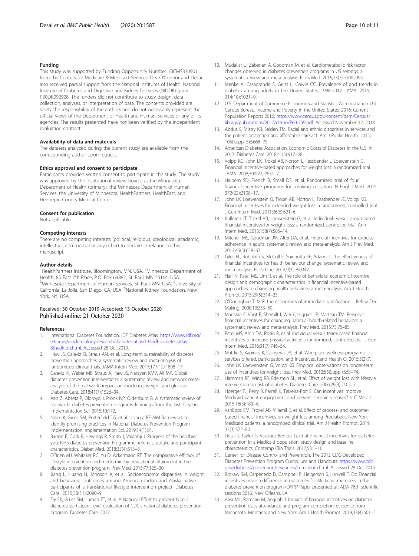## <span id="page-9-0"></span>Funding

This study was supported by Funding Opportunity Number 1BCMS330901 from the Centers for Medicare & Medicaid Services. Drs. O'Connor and Desai also received partial support from the National Institutes of Health, National Institute of Diabetes and Digestive and Kidney Diseases (NIDDK) grant P30DK092928. The funders did not contribute to study design, data collection, analyses, or interpretation of data. The contents provided are solely the responsibility of the authors and do not necessarily represent the official views of the Department of Health and Human Services or any of its agencies. The results presented have not been verified by the independent evaluation contract.

#### Availability of data and materials

The datasets analyzed during the current study are available from the corresponding author upon request.

#### Ethics approval and consent to participate

Participants provided written consent to participate in the study. The study was approved by the institutional review boards at the Minnesota Department of Health (primary), the Minnesota Department of Human Services, the University of Minnesota, HealthPartners, HealthEast, and Hennepin County Medical Center.

#### Consent for publication

Not applicable.

#### Competing interests

There are no competing interests (political, religious, ideological, academic, intellectual, commercial or any other) to declare in relation to this manuscript.

#### Author details

<sup>1</sup>HealthPartners Institute, Bloomington, MN, USA. <sup>2</sup>Minnesota Department of Health, 85 East 7th Place, P.O. Box 64882, St. Paul, MN 55164, USA. <sup>3</sup>Minnesota Department of Human Services, St. Paul, MN, USA. <sup>4</sup>University of California, La Jolla, San Diego, CA, USA. <sup>5</sup>National Kidney Foundation, New York, NY, USA.

# Received: 30 October 2019 Accepted: 13 October 2020

#### References

- 1. International Diabetes Foundation. IDF Diabetes Atlas. [https://www.idf.org/](https://www.idf.org/e-library/epidemiology-research/diabetes-atlas/134-idf-diabetes-atlas-8thedition.html) [e-library/epidemiology-research/diabetes-atlas/134-idf-diabetes-atlas-](https://www.idf.org/e-library/epidemiology-research/diabetes-atlas/134-idf-diabetes-atlas-8thedition.html)[8thedition.html](https://www.idf.org/e-library/epidemiology-research/diabetes-atlas/134-idf-diabetes-atlas-8thedition.html). Accessed 28 Oct 2019.
- 2. Haw JS, Galaviz KI, Straus AN, et al. Long-term sustainability of diabetes prevention approaches: a systematic review and meta-analysis of randomized clinical trials. JAMA Intern Med. 2017;177(12):1808–17.
- 3. Galaviz KI, Weber MB, Straus A, Haw JS, Narayan KMV, Ali MK. Global diabetes prevention interventions: a systematic review and network metaanalysis of the real-world impact on incidence, weight, and glucose. Diabetes Care. 2018;41(7):1526–34.
- Aziz Z, Absetz P, Oldroyd J, Pronk NP, Oldenburg B. A systematic review of real-world diabetes prevention programs: learnings from the last 15 years. Implementation Sci. 2015;10:172.
- 5. Nhim K, Gruss SM, Porterfield DS, et al. Using a RE-AIM framework to identify promising practices in National Diabetes Prevention Program implementation. Implementation Sci. 2019;14(1):81.
- Barron E, Clark R, Hewings R, Smith J, Valabhji J. Progress of the healthier you: NHS diabetes prevention Programme: referrals, uptake and participant characteristics. Diabet Med. 2018;35(4):513–8.
- 7. O'Brien MJ, Whitaker RC, Yu D, Ackermann RT. The comparative efficacy of lifestyle intervention and metformin by educational attainment in the diabetes prevention program. Prev Med. 2015;77:125–30.
- 8. Jiang L, Huang H, Johnson A, et al. Socioeconomic disparities in weight and behavioral outcomes among American Indian and Alaska native participants of a translational lifestyle intervention project. Diabetes Care. 2015;38(11):2090–9.
- 9. Ely EK, Gruss SM, Luman ET, et al. A National Effort to prevent type 2 diabetes: participant-level evaluation of CDC's national diabetes prevention program. Diabetes Care. 2017.
- 10. Mudaliar U, Zabetian A, Goodman M, et al. Cardiometabolic risk factor changes observed in diabetes prevention programs in US settings: a systematic review and meta-analysis. PLoS Med. 2016;13(7):e1002095.
- 11. Menke A, Casagrande S, Geiss L, Cowie CC. Prevalence of and trends in diabetes among adults in the United States, 1988-2012. JAMA. 2015; 314(10):1021–9.
- 12. U.S. Department of Commerce Economics and Statistics Administration U.S. Census Bureau. Income and Poverty in the United States: 2016; Current Population Reports 2016; [https://www.census.gov/content/dam/Census/](https://www.census.gov/content/dam/Census/library/publications/2017/demo/P60-259.pdf) [library/publications/2017/demo/P60-259.pdf](https://www.census.gov/content/dam/Census/library/publications/2017/demo/P60-259.pdf). Accessed November 12, 2018.
- 13. Abdus S, Mistry KB, Selden TM. Racial and ethnic disparities in services and the patient protection and affordable care act. Am J Public Health. 2015; 105(Suppl 5):S668–75.
- 14. American Diabetes Association. Economic Costs of Diabetes in the U.S. in 2017. Diabetes Care. 2018;41(5):917–28.
- 15. Volpp KG, John LK, Troxel AB, Norton L, Fassbender J, Loewenstein G. Financial incentive-based approaches for weight loss: a randomized trial. JAMA. 2008;300(22):2631–7.
- 16. Halpern SD, French B, Small DS, et al. Randomized trial of four financial-incentive programs for smoking cessation. N Engl J Med. 2015; 372(22):2108–17.
- 17. John LK, Loewenstein G, Troxel AB, Norton L, Fassbender JE, Volpp KG. Financial incentives for extended weight loss: a randomized, controlled trial. J Gen Intern Med. 2011;26(6):621–6.
- 18. Kullgren JT, Troxel AB, Loewenstein G, et al. Individual- versus group-based financial incentives for weight loss: a randomized, controlled trial. Ann Intern Med. 2013;158(7):505–14.
- 19. Mitchell MS, Goodman JM, Alter DA, et al. Financial incentives for exercise adherence in adults: systematic review and meta-analysis. Am J Prev Med. 2013;45(5):658–67.
- 20. Giles EL, Robalino S, McColl E, Sniehotta FF, Adams J. The effectiveness of financial incentives for health behaviour change: systematic review and meta-analysis. PLoS One. 2014;9(3):e90347.
- 21. Haff N, Patel MS, Lim R, et al. The role of behavioral economic incentive design and demographic characteristics in financial incentive-based approaches to changing health behaviors: a meta-analysis. Am J Health Promot. 2015;29(5):314–23.
- 22. O'Donoghue T. M R. the economics of immediate gratification. J Behav Dec Making. 2000;13:233–50.
- 23. Mantzari E, Vogt F, Shemilt I, Wei Y, Higgins JP, Marteau TM. Personal financial incentives for changing habitual health-related behaviors: a systematic review and meta-analysis. Prev Med. 2015;75:75–85.
- 24. Patel MS, Asch DA, Rosin R, et al. Individual versus team-based financial incentives to increase physical activity: a randomized, controlled trial. J Gen Intern Med. 2016;31(7):746–54.
- 25. Mattke S, Kapinos K, Caloyeras JP, et al. Workplace wellness programs: services offered, participation, and incentives. Rand Health Q. 2015;5(2):7.
- 26. John LK, Loewenstein G, Volpp KG. Empirical observations on longer-term use of incentives for weight loss. Prev Med. 2012;55(Suppl):S68–74.
- 27. Hamman RF, Wing RR, Edelstein SL, et al. Effect of weight loss with lifestyle intervention on risk of diabetes. Diabetes Care. 2006;29(9):2102–7.
- 28. Hoerger TJ, Perry R, Farrell K, Teixeira-Poit S. Can incentives improve Medicaid patient engagement and prevent chronic diseases? N C Med J. 2015;76(3):180–4.
- 29. VanEpps EM, Troxel AB, Villamil E, et al. Effect of process- and outcomebased financial incentives on weight loss among Prediabetic New York Medicaid patients: a randomized clinical trial. Am J Health Promot. 2019; 33(3):372–80.
- 30. Desai J, Taylor G, Vazquez-Benitez G, et al. Financial incentives for diabetes prevention in a Medicaid population: study design and baseline characteristics. Contemp Clin Trials. 2017;53:1–10.
- 31. Center for Disease Control and Prevention. The 2012 CDC-Developed Diabetes Prevention Program Curriculum and Handouts: [https://www.cdc.](https://www.cdc.gov/diabetes/prevention/resources/curriculum.html) [gov/diabetes/prevention/resources/curriculum.html.](https://www.cdc.gov/diabetes/prevention/resources/curriculum.html) Accessed 28 Oct 2015.
- 32. Brokaw SM, Carpenedo D, Campbell P, Helgerson S, Harwell T. Do Financial incentives make a difference in outcomes for Medicaid members in the diabetes prevention program (DPP)? Paper presented at: ADA 76th scientific sessions 2016; New Orleans, LA.
- 33. Alva ML, Romaire M, Acquah J. Impact of financial incentives on diabetes prevention class attendance and program completion: evidence from Minnesota, Montana, and New York. Am J Health Promot. 2019;33(4):601–5.